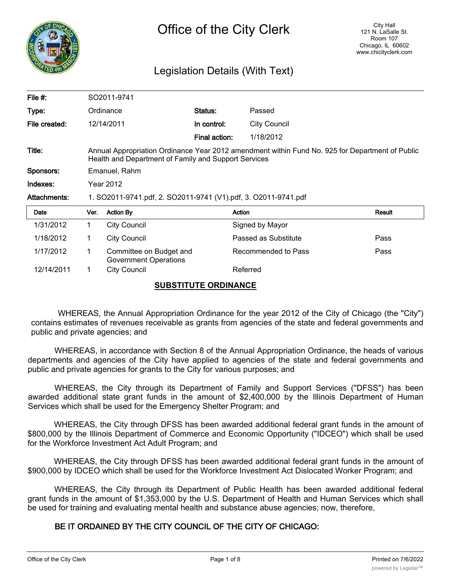

# Legislation Details (With Text)

| File #:       |                                                                                                                                                         | SO2011-9741             |               |                      |        |
|---------------|---------------------------------------------------------------------------------------------------------------------------------------------------------|-------------------------|---------------|----------------------|--------|
| Type:         |                                                                                                                                                         | Ordinance               | Status:       | Passed               |        |
| File created: | 12/14/2011                                                                                                                                              |                         | In control:   | <b>City Council</b>  |        |
|               |                                                                                                                                                         |                         | Final action: | 1/18/2012            |        |
| Title:        | Annual Appropriation Ordinance Year 2012 amendment within Fund No. 925 for Department of Public<br>Health and Department of Family and Support Services |                         |               |                      |        |
| Sponsors:     | Emanuel, Rahm                                                                                                                                           |                         |               |                      |        |
| Indexes:      | <b>Year 2012</b>                                                                                                                                        |                         |               |                      |        |
| Attachments:  | 1. SO2011-9741.pdf, 2. SO2011-9741 (V1).pdf, 3. O2011-9741.pdf                                                                                          |                         |               |                      |        |
| Date          | Ver.                                                                                                                                                    | <b>Action By</b>        | Action        |                      | Result |
| 1/31/2012     | 1.                                                                                                                                                      | City Council            |               | Signed by Mayor      |        |
| 1/18/2012     | 1                                                                                                                                                       | <b>City Council</b>     |               | Passed as Substitute | Pass   |
| 1/17/2012     |                                                                                                                                                         | Committee on Budget and |               | Recommended to Pass  | Pass   |

### **SUBSTITUTE ORDINANCE**

Government Operations 12/14/2011 1 City Council 2014 Referred

WHEREAS, the Annual Appropriation Ordinance for the year 2012 of the City of Chicago (the "City") contains estimates of revenues receivable as grants from agencies of the state and federal governments and public and private agencies; and

WHEREAS, in accordance with Section 8 of the Annual Appropriation Ordinance, the heads of various departments and agencies of the City have applied to agencies of the state and federal governments and public and private agencies for grants to the City for various purposes; and

WHEREAS, the City through its Department of Family and Support Services ("DFSS") has been awarded additional state grant funds in the amount of \$2,400,000 by the Illinois Department of Human Services which shall be used for the Emergency Shelter Program; and

WHEREAS, the City through DFSS has been awarded additional federal grant funds in the amount of \$800,000 by the Illinois Department of Commerce and Economic Opportunity ("IDCEO") which shall be used for the Workforce Investment Act Adult Program; and

WHEREAS, the City through DFSS has been awarded additional federal grant funds in the amount of \$900,000 by IDCEO which shall be used for the Workforce Investment Act Dislocated Worker Program; and

WHEREAS, the City through its Department of Public Health has been awarded additional federal grant funds in the amount of \$1,353,000 by the U.S. Department of Health and Human Services which shall be used for training and evaluating mental health and substance abuse agencies; now, therefore,

## BE IT ORDAINED BY THE CITY COUNCIL OF THE CITY OF CHICAGO: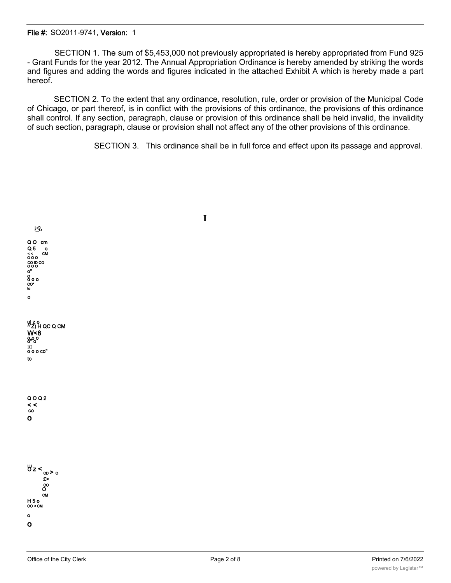#### File #: SO2011-9741, Version: 1

SECTION 1. The sum of \$5,453,000 not previously appropriated is hereby appropriated from Fund 925 - Grant Funds for the year 2012. The Annual Appropriation Ordinance is hereby amended by striking the words and figures and adding the words and figures indicated in the attached Exhibit A which is hereby made a part hereof.

SECTION 2. To the extent that any ordinance, resolution, rule, order or provision of the Municipal Code of Chicago, or part thereof, is in conflict with the provisions of this ordinance, the provisions of this ordinance shall control. If any section, paragraph, clause or provision of this ordinance shall be held invalid, the invalidity of such section, paragraph, clause or provision shall not affect any of the other provisions of this ordinance.

SECTION 3. This ordinance shall be in full force and effect upon its passage and approval.



**I**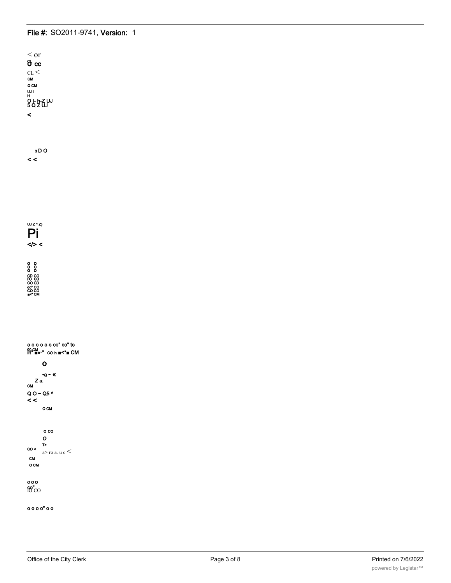#### File #: SO2011-9741, Version: 1

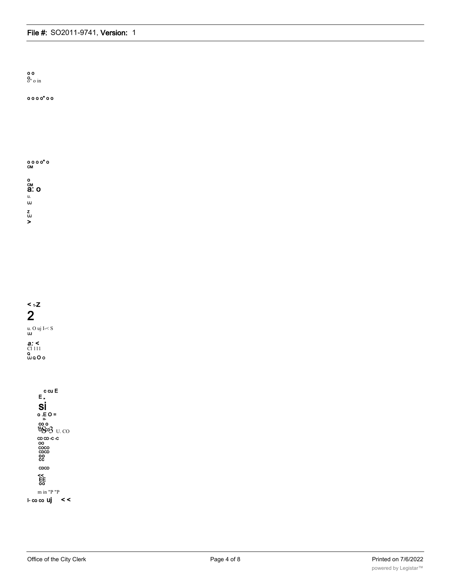#### File #: SO2011-9741, Version: 1

 $\frac{0}{0}$ <br> $\frac{0}{0}$  in

 $0000"00$ 

| <b>0000°</b><br>CM |
|--------------------|
| ۰<br>CM<br>a: o    |
| u.                 |
| w                  |
| z<br>w             |

 $<sub>1</sub>Z$ </sub>  $\overline{2}$ u. O uj I < S<br>**UJ** a: <<br>Cl 111<br>ผู้<br>ผู้ 0 0

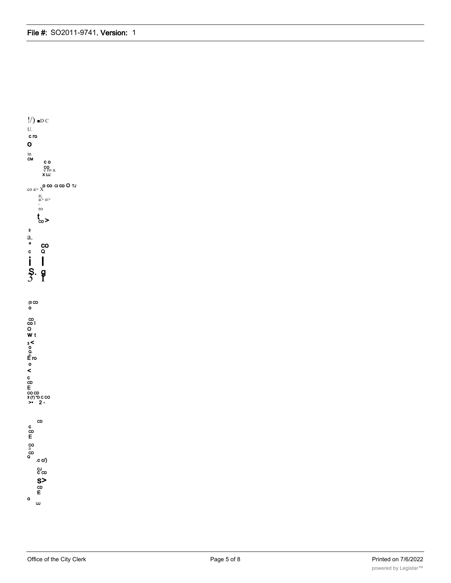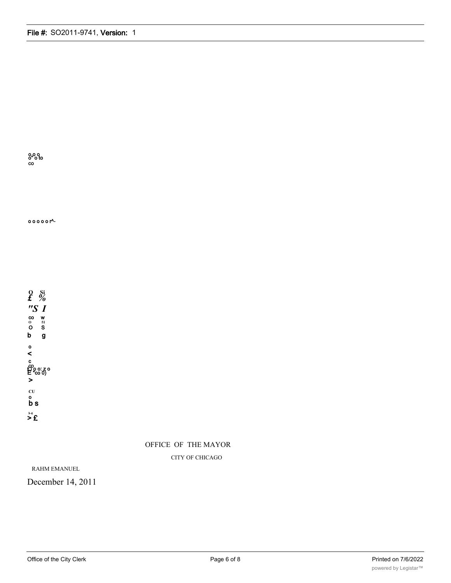o o q<br>co

o o o o o r^-

**O Si** *£ % "S I* co w **O f\l** O S b g o  $\prec$ c<br>ဥာ၀: z ၀<br>E "co 0) > cu<br>o<br>**b s**  $\mathring{\mathcal{F}}$ £

#### OFFICE OF THE MAYOR

CITY OF CHICAGO

RAHM EMANUEL

December 14, 2011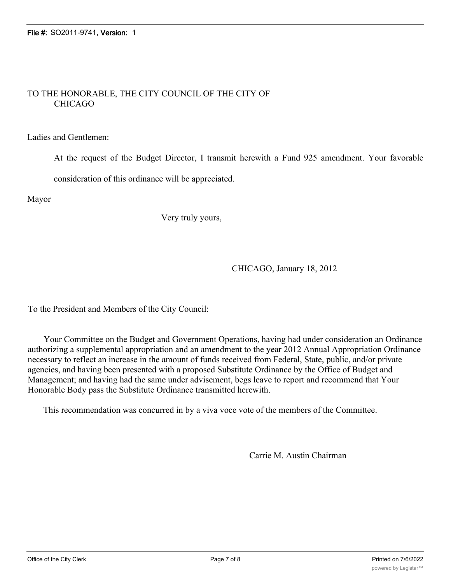### TO THE HONORABLE, THE CITY COUNCIL OF THE CITY OF CHICAGO

Ladies and Gentlemen:

At the request of the Budget Director, I transmit herewith a Fund 925 amendment. Your favorable consideration of this ordinance will be appreciated.

Mayor

Very truly yours,

CHICAGO, January 18, 2012

To the President and Members of the City Council:

Your Committee on the Budget and Government Operations, having had under consideration an Ordinance authorizing a supplemental appropriation and an amendment to the year 2012 Annual Appropriation Ordinance necessary to reflect an increase in the amount of funds received from Federal, State, public, and/or private agencies, and having been presented with a proposed Substitute Ordinance by the Office of Budget and Management; and having had the same under advisement, begs leave to report and recommend that Your Honorable Body pass the Substitute Ordinance transmitted herewith.

This recommendation was concurred in by a viva voce vote of the members of the Committee.

Carrie M. Austin Chairman